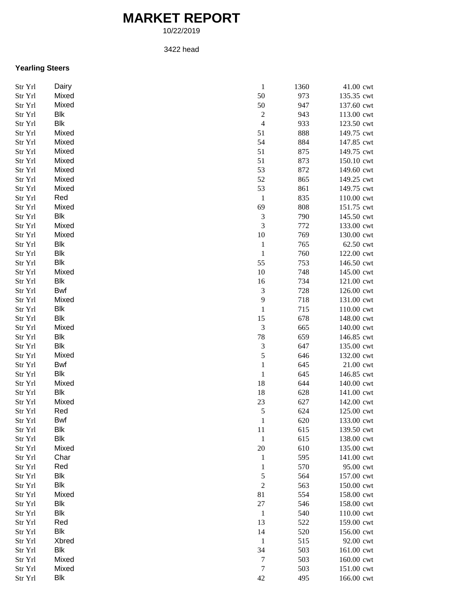## **MARKET REPORT**

10/22/2019

## 3422 head

## **Yearling Steers**

| Str Yrl | Dairy      | $\mathbf{1}$<br>1360               | 41.00 cwt  |
|---------|------------|------------------------------------|------------|
| Str Yrl | Mixed      | 50<br>973                          | 135.35 cwt |
| Str Yrl | Mixed      | 50<br>947                          | 137.60 cwt |
| Str Yrl | <b>Blk</b> | $\sqrt{2}$<br>943                  | 113.00 cwt |
| Str Yrl | <b>Blk</b> | $\overline{4}$<br>933              | 123.50 cwt |
| Str Yrl | Mixed      | 51<br>888                          | 149.75 cwt |
| Str Yrl | Mixed      | 54<br>884                          | 147.85 cwt |
| Str Yrl | Mixed      | 51<br>875                          | 149.75 cwt |
| Str Yrl | Mixed      | 51<br>873                          | 150.10 cwt |
| Str Yrl | Mixed      | 53<br>872                          | 149.60 cwt |
| Str Yrl | Mixed      | 52<br>865                          | 149.25 cwt |
| Str Yrl | Mixed      | 53<br>861                          | 149.75 cwt |
| Str Yrl | Red        | $\mathbf{1}$<br>835                | 110.00 cwt |
| Str Yrl | Mixed      | 69<br>808                          | 151.75 cwt |
| Str Yrl | Blk        | $\sqrt{3}$<br>790                  | 145.50 cwt |
| Str Yrl | Mixed      | $\mathfrak{Z}$<br>772              | 133.00 cwt |
| Str Yrl | Mixed      | 10<br>769                          | 130.00 cwt |
| Str Yrl | Blk        |                                    |            |
|         |            | $\mathbf{1}$<br>765                | 62.50 cwt  |
| Str Yrl | Blk        | $\mathbf{1}$<br>760                | 122.00 cwt |
| Str Yrl | Blk        | 55<br>753                          | 146.50 cwt |
| Str Yrl | Mixed      | 10<br>748                          | 145.00 cwt |
| Str Yrl | <b>Blk</b> | 16<br>734                          | 121.00 cwt |
| Str Yrl | <b>Bwf</b> | $\ensuremath{\mathfrak{Z}}$<br>728 | 126.00 cwt |
| Str Yrl | Mixed      | $\overline{9}$<br>718              | 131.00 cwt |
| Str Yrl | Blk        | $\mathbf{1}$<br>715                | 110.00 cwt |
| Str Yrl | Blk        | 15<br>678                          | 148.00 cwt |
| Str Yrl | Mixed      | $\mathfrak{Z}$<br>665              | 140.00 cwt |
| Str Yrl | Blk        | $78\,$<br>659                      | 146.85 cwt |
| Str Yrl | <b>Blk</b> | $\ensuremath{\mathfrak{Z}}$<br>647 | 135.00 cwt |
| Str Yrl | Mixed      | $\mathfrak s$<br>646               | 132.00 cwt |
| Str Yrl | <b>Bwf</b> | $\mathbf{1}$<br>645                | 21.00 cwt  |
| Str Yrl | <b>Blk</b> | $\mathbf{1}$<br>645                | 146.85 cwt |
| Str Yrl | Mixed      | 18<br>644                          | 140.00 cwt |
| Str Yrl | Blk        | 18<br>628                          | 141.00 cwt |
| Str Yrl | Mixed      | 23<br>627                          | 142.00 cwt |
| Str Yrl | Red        | $\sqrt{5}$<br>624                  | 125.00 cwt |
| Str Yrl | <b>Bwf</b> | 620<br>$\mathbf{1}$                | 133.00 cwt |
| Str Yrl | Blk        | 11<br>615                          | 139.50 cwt |
| Str Yrl | <b>Blk</b> | 615<br>$\mathbf{1}$                | 138.00 cwt |
| Str Yrl | Mixed      | $20\,$<br>610                      | 135.00 cwt |
| Str Yrl | Char       | 595<br>$\mathbf{1}$                | 141.00 cwt |
| Str Yrl | Red        | 570<br>$\mathbf{1}$                | 95.00 cwt  |
| Str Yrl | Blk        | $\sqrt{5}$<br>564                  | 157.00 cwt |
| Str Yrl | Blk        | $\sqrt{2}$<br>563                  | 150.00 cwt |
| Str Yrl | Mixed      | 81<br>554                          | 158.00 cwt |
| Str Yrl | Blk        | 27<br>546                          | 158.00 cwt |
| Str Yrl | <b>Blk</b> | 540<br>$\mathbf{1}$                | 110.00 cwt |
| Str Yrl | Red        | 522<br>13                          | 159.00 cwt |
| Str Yrl | Blk        | 520<br>14                          | 156.00 cwt |
| Str Yrl | Xbred      | 515<br>$\mathbf{1}$                | 92.00 cwt  |
| Str Yrl | <b>Blk</b> | 34<br>503                          | 161.00 cwt |
| Str Yrl | Mixed      | 503<br>7                           | 160.00 cwt |
| Str Yrl | Mixed      | $\boldsymbol{7}$<br>503            | 151.00 cwt |
| Str Yrl | <b>Blk</b> | 42<br>495                          | 166.00 cwt |
|         |            |                                    |            |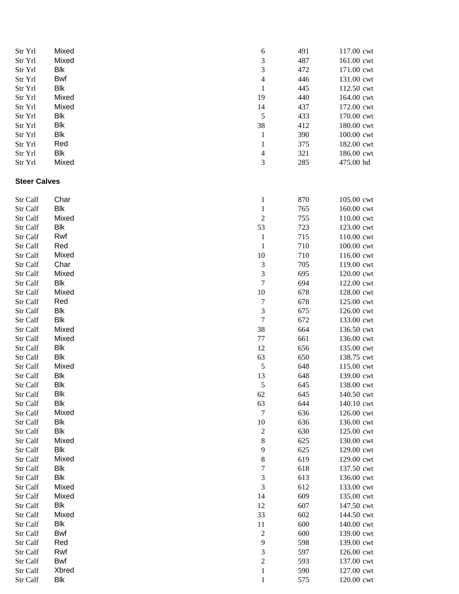| Str Yrl              | Mixed               | 6                           | 491        | 117.00 cwt               |
|----------------------|---------------------|-----------------------------|------------|--------------------------|
| Str Yrl              | Mixed               | $\mathfrak{Z}$              | 487        | 161.00 cwt               |
| Str Yrl              | Blk                 | $\mathfrak{Z}$              | 472        | 171.00 cwt               |
| Str Yrl              | <b>Bwf</b>          | $\overline{\mathcal{L}}$    | 446        | 131.00 cwt               |
| Str Yrl              | <b>Blk</b>          | $\mathbf{1}$                | 445        | 112.50 cwt               |
| Str Yrl              | Mixed               | 19                          | 440        | 164.00 cwt               |
| Str Yrl              | Mixed               | 14                          | 437        | 172.00 cwt               |
| Str Yrl              | Blk                 | $\sqrt{5}$                  | 433        | 170.00 cwt               |
| Str Yrl              | Blk                 | 38                          | 412        | 180.00 cwt               |
| Str Yrl              | Blk                 | $\mathbf{1}$                | 390        | 100.00 cwt               |
| Str Yrl              | Red                 | $\mathbf{1}$                | 375        | 182.00 cwt               |
| Str Yrl              | Blk                 | $\overline{\mathcal{L}}$    | 321        | 186.00 cwt               |
| Str Yrl              | Mixed               | $\mathfrak{Z}$              | 285        | 475.00 hd                |
| <b>Steer Calves</b>  |                     |                             |            |                          |
| Str Calf             | Char                | $\mathbf{1}$                | 870        | 105.00 cwt               |
| Str Calf             | Blk                 | $\mathbf{1}$                | 765        | 160.00 cwt               |
| Str Calf             | Mixed               | $\sqrt{2}$                  | 755        | 110.00 cwt               |
| Str Calf             | Blk                 | 53                          | 723        | 123.00 cwt               |
| Str Calf             | Rwf                 | $\mathbf{1}$                | 715        | 110.00 cwt               |
| Str Calf             | Red                 | $\mathbf{1}$                | 710        | 100.00 cwt               |
| Str Calf             | Mixed               | $10\,$                      | 710        | 116.00 cwt               |
| Str Calf             | Char                | $\ensuremath{\mathfrak{Z}}$ | 705        | 119.00 cwt               |
| Str Calf             | Mixed               | $\ensuremath{\mathfrak{Z}}$ | 695        | 120.00 cwt               |
| Str Calf             | <b>Blk</b>          | $\sqrt{ }$                  | 694        | 122.00 cwt               |
| Str Calf             | Mixed               | $10\,$                      | 678        | 128.00 cwt               |
| Str Calf             | Red                 | $\tau$                      | 678        | 125.00 cwt               |
| Str Calf             | <b>Blk</b>          | $\mathfrak{Z}$              | 675        | 126.00 cwt               |
| Str Calf             | Blk                 | $\boldsymbol{7}$            | 672        | 133.00 cwt               |
| Str Calf             | Mixed               | 38                          | 664        | 136.50 cwt               |
| Str Calf             | Mixed               | 77                          | 661        | 136.00 cwt               |
| Str Calf             | <b>Blk</b>          | 12                          | 656        | 135.00 cwt               |
| Str Calf             | <b>Blk</b>          | 63                          | 650        | 138.75 cwt               |
| Str Calf             | Mixed               | $\sqrt{5}$                  | 648        | 115.00 cwt               |
| Str Calf             | Blk                 | 13                          | 648        | 139.00 cwt               |
| Str Calf             | Blk                 | 5                           | 645        | 138.00 cwt               |
| Str Calf             | Blk                 | 62                          | 645        | 140.50 cwt               |
| Str Calf             | Blk                 | 63                          | 644        | 140.10 cwt               |
| Str Calf             | Mixed               | $\tau$                      | 636        | 126.00 cwt               |
| Str Calf             | Blk                 | 10                          | 636        | 136.00 cwt               |
| Str Calf             | <b>Blk</b>          | $\boldsymbol{2}$            | 630        | 125.00 cwt               |
| Str Calf             | Mixed               | 8                           | 625        | 130.00 cwt               |
| Str Calf             | Blk                 | 9                           | 625        | 129.00 cwt               |
| Str Calf             | Mixed               | $\,8$                       | 619        | 129.00 cwt               |
| Str Calf             | <b>Blk</b>          | $\boldsymbol{7}$            | 618        | 137.50 cwt               |
| Str Calf             | <b>Blk</b>          | $\mathfrak{Z}$              | 613        | 136.00 cwt               |
| Str Calf             | Mixed               | $\mathfrak{Z}$              | 612        | 133.00 cwt               |
| Str Calf             | Mixed<br><b>Blk</b> | 14                          | 609        | 135.00 cwt               |
| Str Calf             | Mixed               | 12<br>33                    | 607<br>602 | 147.50 cwt<br>144.50 cwt |
| Str Calf<br>Str Calf | Blk                 | 11                          | 600        | 140.00 cwt               |
| Str Calf             | <b>Bwf</b>          | $\boldsymbol{2}$            | 600        | 139.00 cwt               |
| Str Calf             | Red                 | 9                           | 598        | 139.00 cwt               |
| Str Calf             | Rwf                 | $\ensuremath{\mathfrak{Z}}$ | 597        | 126.00 cwt               |
| Str Calf             | <b>Bwf</b>          | $\boldsymbol{2}$            | 593        | 137.00 cwt               |
| Str Calf             | Xbred               | $\mathbf{1}$                | 590        | 127.00 cwt               |
| Str Calf             | Blk                 | $\mathbf{1}$                | 575        | 120.00 cwt               |
|                      |                     |                             |            |                          |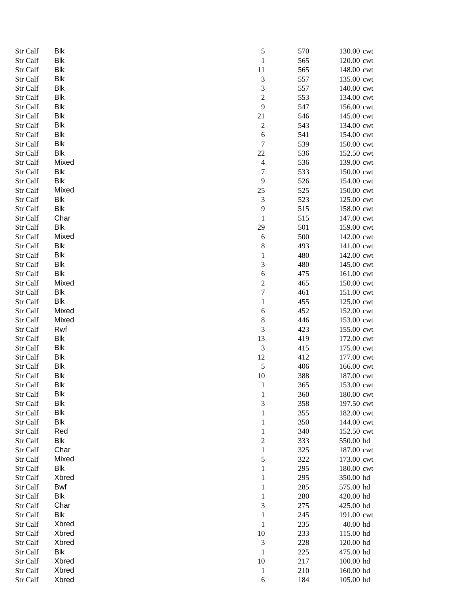| Str Calf | <b>Blk</b> | 5                           | 570 | 130.00 cwt |
|----------|------------|-----------------------------|-----|------------|
| Str Calf | <b>Blk</b> | $\,1$                       | 565 | 120.00 cwt |
| Str Calf | <b>Blk</b> | 11                          | 565 | 148.00 cwt |
| Str Calf | <b>Blk</b> | $\sqrt{3}$                  | 557 | 135.00 cwt |
| Str Calf | <b>Blk</b> | 3                           | 557 | 140.00 cwt |
| Str Calf | Blk        | $\overline{\mathbf{c}}$     | 553 | 134.00 cwt |
| Str Calf | Blk        | 9                           | 547 | 156.00 cwt |
| Str Calf | <b>Blk</b> | 21                          | 546 | 145.00 cwt |
| Str Calf | Blk        | 2                           | 543 | 134.00 cwt |
| Str Calf | Blk        | 6                           | 541 | 154.00 cwt |
| Str Calf | <b>Blk</b> | 7                           | 539 | 150.00 cwt |
| Str Calf | <b>Blk</b> | 22                          | 536 | 152.50 cwt |
| Str Calf | Mixed      | $\overline{\mathcal{A}}$    | 536 | 139.00 cwt |
| Str Calf | Blk        | 7                           | 533 | 150.00 cwt |
| Str Calf | <b>Blk</b> | 9                           | 526 | 154.00 cwt |
| Str Calf | Mixed      | 25                          | 525 |            |
|          |            |                             |     | 150.00 cwt |
| Str Calf | Blk        | $\mathfrak 3$               | 523 | 125.00 cwt |
| Str Calf | Blk        | 9                           | 515 | 158.00 cwt |
| Str Calf | Char       | $\,1$                       | 515 | 147.00 cwt |
| Str Calf | <b>Blk</b> | 29                          | 501 | 159.00 cwt |
| Str Calf | Mixed      | 6                           | 500 | 142.00 cwt |
| Str Calf | <b>Blk</b> | 8                           | 493 | 141.00 cwt |
| Str Calf | <b>Blk</b> | $\,1$                       | 480 | 142.00 cwt |
| Str Calf | Blk        | 3                           | 480 | 145.00 cwt |
| Str Calf | <b>Blk</b> | 6                           | 475 | 161.00 cwt |
| Str Calf | Mixed      | $\overline{c}$              | 465 | 150.00 cwt |
| Str Calf | Blk        | 7                           | 461 | 151.00 cwt |
| Str Calf | <b>Blk</b> | $\mathbf{1}$                | 455 | 125.00 cwt |
| Str Calf | Mixed      | 6                           | 452 | 152.00 cwt |
| Str Calf | Mixed      | 8                           | 446 | 153.00 cwt |
| Str Calf | Rwf        | 3                           | 423 | 155.00 cwt |
| Str Calf | <b>Blk</b> | 13                          | 419 | 172.00 cwt |
| Str Calf | <b>Blk</b> | $\ensuremath{\mathfrak{Z}}$ | 415 | 175.00 cwt |
| Str Calf | Blk        | 12                          | 412 | 177.00 cwt |
| Str Calf | Blk        | $\sqrt{5}$                  | 406 | 166.00 cwt |
| Str Calf | <b>Blk</b> | 10                          | 388 | 187.00 cwt |
| Str Calf | <b>Blk</b> | $\mathbf{1}$                | 365 | 153.00 cwt |
| Str Calf | <b>Blk</b> | $\mathbf{1}$                | 360 | 180.00 cwt |
| Str Calf | <b>Blk</b> | 3                           | 358 | 197.50 cwt |
| Str Calf | <b>Blk</b> | $\mathbf 1$                 | 355 | 182.00 cwt |
| Str Calf | <b>Blk</b> | $\mathbf{1}$                | 350 | 144.00 cwt |
| Str Calf | Red        | $\mathbf{1}$                | 340 | 152.50 cwt |
| Str Calf | Blk        | $\overline{\mathbf{c}}$     | 333 | 550.00 hd  |
| Str Calf | Char       | $\mathbf{1}$                | 325 | 187.00 cwt |
| Str Calf | Mixed      |                             | 322 | 173.00 cwt |
|          |            | 5                           |     |            |
| Str Calf | <b>Blk</b> | 1                           | 295 | 180.00 cwt |
| Str Calf | Xbred      | $\mathbf{1}$                | 295 | 350.00 hd  |
| Str Calf | <b>Bwf</b> | $\mathbf{1}$                | 285 | 575.00 hd  |
| Str Calf | Blk        | $\mathbf{1}$                | 280 | 420.00 hd  |
| Str Calf | Char       | 3                           | 275 | 425.00 hd  |
| Str Calf | <b>Blk</b> | $\mathbf{1}$                | 245 | 191.00 cwt |
| Str Calf | Xbred      | $\mathbf{1}$                | 235 | 40.00 hd   |
| Str Calf | Xbred      | 10                          | 233 | 115.00 hd  |
| Str Calf | Xbred      | 3                           | 228 | 120.00 hd  |
| Str Calf | Blk        | $\mathbf 1$                 | 225 | 475.00 hd  |
| Str Calf | Xbred      | 10                          | 217 | 100.00 hd  |
| Str Calf | Xbred      | $\mathbf{1}$                | 210 | 160.00 hd  |
| Str Calf | Xbred      | $\sqrt{6}$                  | 184 | 105.00 hd  |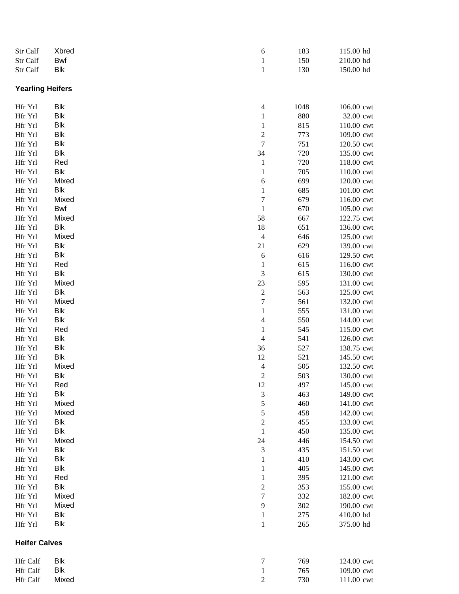| Str Calf                | Xbred      | 6                           | 183  | 115.00 hd  |
|-------------------------|------------|-----------------------------|------|------------|
| Str Calf                | Bwf        | $\mathbf{1}$                | 150  | 210.00 hd  |
| Str Calf                | Blk        | $\mathbf{1}$                | 130  | 150.00 hd  |
| <b>Yearling Heifers</b> |            |                             |      |            |
| Hfr Yrl                 | Blk        | $\overline{4}$              | 1048 | 106.00 cwt |
| Hfr Yrl                 | Blk        | $\mathbf{1}$                | 880  | 32.00 cwt  |
| Hfr Yrl                 | <b>Blk</b> | $\mathbf{1}$                | 815  | 110.00 cwt |
| Hfr Yrl                 | <b>Blk</b> | $\sqrt{2}$                  | 773  | 109.00 cwt |
| Hfr Yrl                 | <b>Blk</b> | $\boldsymbol{7}$            | 751  | 120.50 cwt |
| Hfr Yrl                 | <b>Blk</b> | 34                          | 720  | 135.00 cwt |
| Hfr Yrl                 | Red        | $\mathbf{1}$                | 720  | 118.00 cwt |
| Hfr Yrl                 | Blk        | $\mathbf{1}$                | 705  | 110.00 cwt |
| Hfr Yrl                 | Mixed      | $\sqrt{6}$                  | 699  | 120.00 cwt |
| Hfr Yrl                 | Blk        | $\mathbf{1}$                | 685  | 101.00 cwt |
| Hfr Yrl                 | Mixed      | $\boldsymbol{7}$            | 679  | 116.00 cwt |
| Hfr Yrl                 | Bwf        | $\mathbf{1}$                | 670  | 105.00 cwt |
| Hfr Yrl                 | Mixed      | 58                          | 667  | 122.75 cwt |
| Hfr Yrl                 | Blk        | 18                          | 651  | 136.00 cwt |
| Hfr Yrl                 | Mixed      | $\overline{4}$              | 646  | 125.00 cwt |
| Hfr Yrl                 | Blk        | 21                          | 629  | 139.00 cwt |
| Hfr Yrl                 | <b>Blk</b> | $\sqrt{6}$                  | 616  | 129.50 cwt |
| Hfr Yrl                 | Red        | $\mathbf{1}$                | 615  | 116.00 cwt |
| Hfr Yrl                 | <b>Blk</b> | $\sqrt{3}$                  | 615  | 130.00 cwt |
| Hfr Yrl                 | Mixed      | $23\,$                      | 595  | 131.00 cwt |
| Hfr Yrl                 | <b>Blk</b> | $\sqrt{2}$                  | 563  | 125.00 cwt |
| Hfr Yrl                 | Mixed      | $\boldsymbol{7}$            | 561  | 132.00 cwt |
| Hfr Yrl                 | <b>Blk</b> | $\,1$                       | 555  | 131.00 cwt |
| Hfr Yrl                 | <b>Blk</b> | $\overline{4}$              | 550  | 144.00 cwt |
| Hfr Yrl                 | Red        | $\mathbf{1}$                | 545  | 115.00 cwt |
| Hfr Yrl                 | Blk        | $\overline{4}$              | 541  | 126.00 cwt |
| Hfr Yrl                 | Blk        | 36                          | 527  | 138.75 cwt |
| Hfr Yrl                 | Blk        | 12                          | 521  | 145.50 cwt |
| Hfr Yrl                 | Mixed      | $\overline{\mathcal{L}}$    | 505  | 132.50 cwt |
| Hfr Yrl                 | Blk        | $\sqrt{2}$                  | 503  | 130.00 cwt |
| Hfr Yrl                 | Red        | 12                          | 497  | 145.00 cwt |
| Hfr Yrl                 | Blk        | $\sqrt{3}$                  | 463  | 149.00 cwt |
| Hfr Yrl                 | Mixed      | 5                           | 460  | 141.00 cwt |
| Hfr Yrl                 | Mixed      | 5                           | 458  | 142.00 cwt |
| Hfr Yrl                 | Blk        | $\sqrt{2}$                  | 455  | 133.00 cwt |
| Hfr Yrl                 | <b>Blk</b> | $\,1\,$                     | 450  | 135.00 cwt |
| Hfr Yrl                 | Mixed      | 24                          | 446  | 154.50 cwt |
| Hfr Yrl                 | <b>Blk</b> | $\ensuremath{\mathfrak{Z}}$ | 435  | 151.50 cwt |
| Hfr Yrl                 | <b>Blk</b> | $\mathbf{1}$                | 410  | 143.00 cwt |
| Hfr Yrl                 | <b>Blk</b> | $\mathbf{1}$                | 405  | 145.00 cwt |
| Hfr Yrl                 | Red        | $\mathbf{1}$                | 395  | 121.00 cwt |
| Hfr Yrl                 | Blk        | $\sqrt{2}$                  | 353  | 155.00 cwt |
| Hfr Yrl                 | Mixed      | $\boldsymbol{7}$            | 332  | 182.00 cwt |
| Hfr Yrl                 | Mixed      | 9                           | 302  | 190.00 cwt |
| Hfr Yrl                 | Blk        | 1                           | 275  | 410.00 hd  |
| Hfr Yrl                 | Blk        | $\mathbf{1}$                | 265  | 375.00 hd  |
| <b>Heifer Calves</b>    |            |                             |      |            |
| Hfr Calf                | Blk        | 7                           | 769  | 124.00 cwt |
| Hfr Calf                | <b>Blk</b> | $\mathbf{1}$                | 765  | 109.00 cwt |
| Hfr Calf                | Mixed      | $\overline{c}$              | 730  | 111.00 cwt |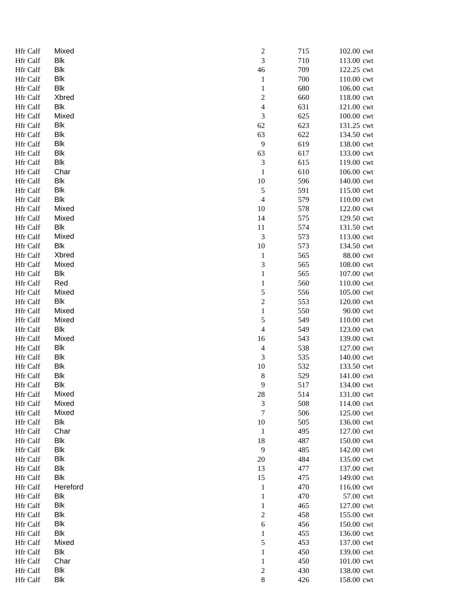| <b>Hfr Calf</b> | Mixed      | $\overline{\mathbf{c}}$     | 715 | 102.00 cwt |
|-----------------|------------|-----------------------------|-----|------------|
| Hfr Calf        | <b>Blk</b> | 3                           | 710 | 113.00 cwt |
| Hfr Calf        | <b>Blk</b> | 46                          | 709 | 122.25 cwt |
| Hfr Calf        | <b>Blk</b> | $\mathbf{1}$                | 700 | 110.00 cwt |
| Hfr Calf        | <b>Blk</b> | $\mathbf{1}$                | 680 | 106.00 cwt |
| Hfr Calf        | Xbred      | $\boldsymbol{2}$            | 660 | 118.00 cwt |
| Hfr Calf        | <b>Blk</b> | $\overline{4}$              | 631 | 121.00 cwt |
| Hfr Calf        | Mixed      | 3                           | 625 | 100.00 cwt |
| Hfr Calf        | <b>Blk</b> | 62                          | 623 | 131.25 cwt |
| Hfr Calf        | <b>Blk</b> | 63                          | 622 | 134.50 cwt |
| Hfr Calf        | <b>Blk</b> | 9                           | 619 | 138.00 cwt |
| Hfr Calf        | <b>Blk</b> | 63                          | 617 | 133.00 cwt |
| Hfr Calf        | Blk        | 3                           | 615 | 119.00 cwt |
| <b>Hfr Calf</b> | Char       | $\mathbf{1}$                | 610 | 106.00 cwt |
| <b>Hfr Calf</b> | <b>Blk</b> | 10                          | 596 | 140.00 cwt |
| Hfr Calf        | Blk        |                             | 591 |            |
|                 |            | $\mathfrak s$               |     | 115.00 cwt |
| Hfr Calf        | <b>Blk</b> | 4                           | 579 | 110.00 cwt |
| Hfr Calf        | Mixed      | 10                          | 578 | 122.00 cwt |
| Hfr Calf        | Mixed      | 14                          | 575 | 129.50 cwt |
| Hfr Calf        | <b>Blk</b> | 11                          | 574 | 131.50 cwt |
| Hfr Calf        | Mixed      | $\mathfrak 3$               | 573 | 113.00 cwt |
| Hfr Calf        | <b>Blk</b> | 10                          | 573 | 134.50 cwt |
| Hfr Calf        | Xbred      | $\mathbf{1}$                | 565 | 88.00 cwt  |
| Hfr Calf        | Mixed      | 3                           | 565 | 108.00 cwt |
| Hfr Calf        | <b>Blk</b> | $\mathbf{1}$                | 565 | 107.00 cwt |
| Hfr Calf        | Red        | 1                           | 560 | 110.00 cwt |
| Hfr Calf        | Mixed      | 5                           | 556 | 105.00 cwt |
| Hfr Calf        | <b>Blk</b> | $\overline{c}$              | 553 | 120.00 cwt |
| Hfr Calf        | Mixed      | $\mathbf{1}$                | 550 | 90.00 cwt  |
| Hfr Calf        | Mixed      | 5                           | 549 | 110.00 cwt |
| Hfr Calf        | <b>Blk</b> | $\overline{\mathcal{A}}$    | 549 | 123.00 cwt |
| Hfr Calf        | Mixed      | 16                          | 543 | 139.00 cwt |
| Hfr Calf        | <b>Blk</b> | $\overline{4}$              | 538 | 127.00 cwt |
| <b>Hfr Calf</b> | <b>Blk</b> | 3                           | 535 | 140.00 cwt |
| Hfr Calf        | <b>Blk</b> | 10                          | 532 | 133.50 cwt |
| Hfr Calf        | <b>Blk</b> | 8                           | 529 | 141.00 cwt |
| Hfr Calf        | <b>Blk</b> | $\overline{9}$              | 517 | 134.00 cwt |
| Hfr Calf        | Mixed      | $28\,$                      | 514 | 131.00 cwt |
| Hfr Calf        | Mixed      | $\ensuremath{\mathfrak{Z}}$ | 508 | 114.00 cwt |
| Hfr Calf        | Mixed      | $\tau$                      | 506 | 125.00 cwt |
| Hfr Calf        | <b>Blk</b> | 10                          | 505 | 136.00 cwt |
| Hfr Calf        | Char       | $\mathbf{1}$                | 495 | 127.00 cwt |
| Hfr Calf        | <b>Blk</b> | 18                          | 487 | 150.00 cwt |
| Hfr Calf        | <b>Blk</b> | 9                           | 485 | 142.00 cwt |
| Hfr Calf        | <b>Blk</b> | 20                          | 484 | 135.00 cwt |
| <b>Hfr Calf</b> | <b>Blk</b> | 13                          | 477 | 137.00 cwt |
| Hfr Calf        | <b>Blk</b> | 15                          | 475 | 149.00 cwt |
|                 | Hereford   |                             | 470 |            |
| Hfr Calf        |            | $\mathbf{1}$                |     | 116.00 cwt |
| Hfr Calf        | <b>Blk</b> | $\mathbf{1}$                | 470 | 57.00 cwt  |
| Hfr Calf        | <b>Blk</b> | $\mathbf{1}$                | 465 | 127.00 cwt |
| Hfr Calf        | <b>Blk</b> | $\overline{c}$              | 458 | 155.00 cwt |
| Hfr Calf        | <b>Blk</b> | $\boldsymbol{6}$            | 456 | 150.00 cwt |
| Hfr Calf        | <b>Blk</b> | $\mathbf{1}$                | 455 | 136.00 cwt |
| Hfr Calf        | Mixed      | 5                           | 453 | 137.00 cwt |
| Hfr Calf        | <b>Blk</b> | $\mathbf{1}$                | 450 | 139.00 cwt |
| Hfr Calf        | Char       | $\mathbf{1}$                | 450 | 101.00 cwt |
| Hfr Calf        | <b>Blk</b> | $\overline{\mathbf{c}}$     | 430 | 138.00 cwt |
| Hfr Calf        | <b>Blk</b> | $\,8\,$                     | 426 | 158.00 cwt |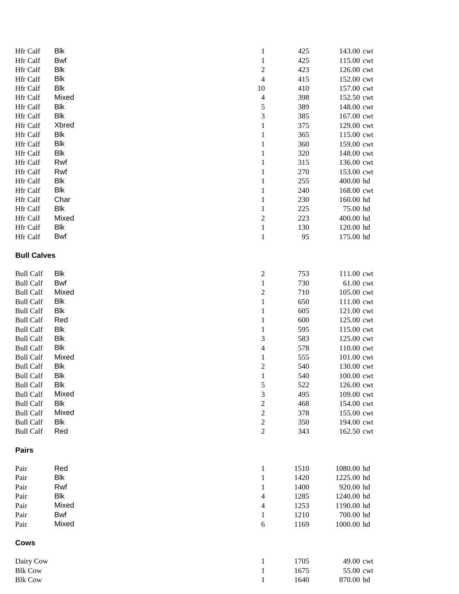| Hfr Calf           | Blk        | $\mathbf{1}$                | 425  | 143.00 cwt |
|--------------------|------------|-----------------------------|------|------------|
| Hfr Calf           | <b>Bwf</b> | $\mathbf{1}$                | 425  | 115.00 cwt |
| Hfr Calf           | <b>Blk</b> | $\sqrt{2}$                  | 423  | 126.00 cwt |
| Hfr Calf           | Blk        | $\overline{4}$              | 415  | 152.00 cwt |
| Hfr Calf           | Blk        | 10                          | 410  | 157.00 cwt |
| Hfr Calf           | Mixed      | $\overline{4}$              | 398  | 152.50 cwt |
| Hfr Calf           | Blk        | 5                           | 389  | 148.00 cwt |
| Hfr Calf           | <b>Blk</b> | 3                           | 385  | 167.00 cwt |
| Hfr Calf           | Xbred      | $\mathbf{1}$                | 375  | 129.00 cwt |
| Hfr Calf           | Blk        | $\mathbf{1}$                | 365  | 115.00 cwt |
| Hfr Calf           | <b>Blk</b> | $\mathbf{1}$                | 360  | 159.00 cwt |
| Hfr Calf           | Blk        | $\mathbf{1}$                | 320  | 148.00 cwt |
| Hfr Calf           | Rwf        | $\mathbf{1}$                | 315  | 136.00 cwt |
| Hfr Calf           | Rwf        | $\mathbf{1}$                | 270  | 153.00 cwt |
| Hfr Calf           | <b>Blk</b> | $\mathbf{1}$                | 255  | 400.00 hd  |
| Hfr Calf           | Blk        | $\mathbf{1}$                | 240  | 168.00 cwt |
| Hfr Calf           | Char       | $\mathbf{1}$                | 230  | 160.00 hd  |
| Hfr Calf           | Blk        | $\mathbf{1}$                | 225  | 75.00 hd   |
| Hfr Calf           | Mixed      | $\sqrt{2}$                  | 223  | 400.00 hd  |
| Hfr Calf           | <b>Blk</b> | $\mathbf 1$                 | 130  | 120.00 hd  |
| Hfr Calf           | <b>Bwf</b> | $\mathbf{1}$                | 95   | 175.00 hd  |
| <b>Bull Calves</b> |            |                             |      |            |
| <b>Bull Calf</b>   | Blk        | $\overline{c}$              | 753  | 111.00 cwt |
| <b>Bull Calf</b>   | Bwf        | $\mathbf{1}$                | 730  | 61.00 cwt  |
| <b>Bull Calf</b>   | Mixed      | $\sqrt{2}$                  | 710  | 105.00 cwt |
| <b>Bull Calf</b>   | Blk        | $\mathbf 1$                 | 650  | 111.00 cwt |
| <b>Bull Calf</b>   | <b>Blk</b> | $\mathbf{1}$                | 605  | 121.00 cwt |
| <b>Bull Calf</b>   | Red        | $\mathbf{1}$                | 600  | 125.00 cwt |
| <b>Bull Calf</b>   | <b>Blk</b> | $\mathbf{1}$                | 595  | 115.00 cwt |
| <b>Bull Calf</b>   | <b>Blk</b> | $\ensuremath{\mathfrak{Z}}$ | 583  | 125.00 cwt |
| <b>Bull Calf</b>   | <b>Blk</b> | $\overline{4}$              | 578  | 110.00 cwt |
| <b>Bull Calf</b>   | Mixed      | $\mathbf{1}$                | 555  | 101.00 cwt |
| <b>Bull Calf</b>   | Blk        | $\sqrt{2}$                  | 540  | 130.00 cwt |
| <b>Bull Calf</b>   | Blk        | $\,1\,$                     | 540  | 100.00 cwt |
| <b>Bull Calf</b>   | Blk        | 5                           | 522  | 126.00 cwt |
| <b>Bull Calf</b>   | Mixed      | $\mathfrak 3$               | 495  | 109.00 cwt |
| <b>Bull Calf</b>   | <b>Blk</b> | $\sqrt{2}$                  | 468  | 154.00 cwt |
| <b>Bull Calf</b>   | Mixed      | $\sqrt{2}$                  | 378  | 155.00 cwt |
| <b>Bull Calf</b>   | Blk        | $\sqrt{2}$                  | 350  | 194.00 cwt |
| <b>Bull Calf</b>   | Red        | $\sqrt{2}$                  | 343  | 162.50 cwt |
| <b>Pairs</b>       |            |                             |      |            |
| Pair               | Red        | $\mathbf{1}$                | 1510 | 1080.00 hd |
| Pair               | Blk        | $\mathbf{1}$                | 1420 | 1225.00 hd |
| Pair               | Rwf        | $\mathbf{1}$                | 1400 | 920.00 hd  |
| Pair               | <b>Blk</b> | 4                           | 1285 | 1240.00 hd |
| Pair               | Mixed      | $\overline{4}$              | 1253 | 1190.00 hd |
| Pair               | Bwf        | $\mathbf{1}$                | 1210 | 700.00 hd  |
| Pair               | Mixed      | $\boldsymbol{6}$            | 1169 | 1000.00 hd |
| <b>Cows</b>        |            |                             |      |            |
| Dairy Cow          |            | $\mathbf{1}$                | 1705 | 49.00 cwt  |
| <b>Blk Cow</b>     |            | $\mathbf{1}$                | 1675 | 55.00 cwt  |
| <b>Blk Cow</b>     |            | $\,1$                       | 1640 | 870.00 hd  |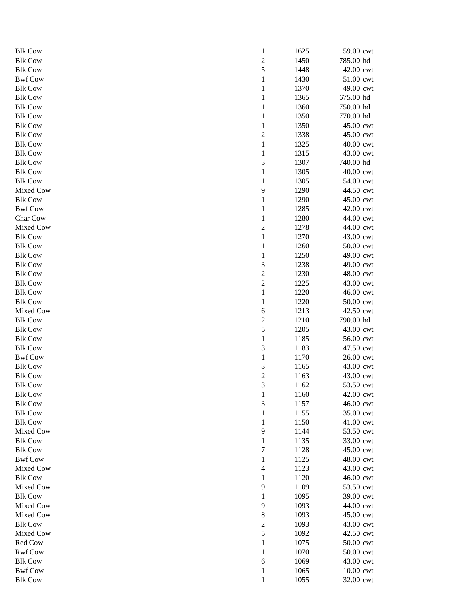| <b>Blk Cow</b> | $\mathbf{1}$            | 1625 | 59.00 cwt |
|----------------|-------------------------|------|-----------|
| <b>Blk Cow</b> | $\overline{c}$          | 1450 | 785.00 hd |
| <b>Blk Cow</b> | $\mathfrak s$           | 1448 | 42.00 cwt |
| <b>Bwf Cow</b> | $\mathbf{1}$            | 1430 | 51.00 cwt |
| <b>Blk Cow</b> | $\mathbf{1}$            | 1370 | 49.00 cwt |
| <b>Blk Cow</b> | $\mathbf{1}$            | 1365 | 675.00 hd |
| <b>Blk Cow</b> | $\mathbf{1}$            | 1360 | 750.00 hd |
| <b>Blk Cow</b> | $\mathbf{1}$            | 1350 | 770.00 hd |
| <b>Blk Cow</b> | $\mathbf{1}$            | 1350 | 45.00 cwt |
| <b>Blk Cow</b> | $\overline{c}$          | 1338 | 45.00 cwt |
| <b>Blk Cow</b> | $\mathbf{1}$            | 1325 | 40.00 cwt |
| <b>Blk Cow</b> | $\mathbf{1}$            | 1315 | 43.00 cwt |
| <b>Blk Cow</b> | 3                       | 1307 | 740.00 hd |
| <b>Blk Cow</b> | $\mathbf{1}$            | 1305 | 40.00 cwt |
| <b>Blk Cow</b> | $\mathbf{1}$            | 1305 | 54.00 cwt |
| Mixed Cow      | 9                       | 1290 | 44.50 cwt |
| <b>Blk Cow</b> | $\mathbf{1}$            | 1290 | 45.00 cwt |
| <b>Bwf Cow</b> | $\mathbf{1}$            | 1285 | 42.00 cwt |
| Char Cow       | $\mathbf{1}$            | 1280 | 44.00 cwt |
| Mixed Cow      | $\sqrt{2}$              | 1278 | 44.00 cwt |
| <b>Blk Cow</b> | $\mathbf{1}$            | 1270 | 43.00 cwt |
| <b>Blk Cow</b> | $\mathbf{1}$            | 1260 | 50.00 cwt |
| <b>Blk Cow</b> | $\mathbf{1}$            | 1250 | 49.00 cwt |
| <b>Blk Cow</b> | 3                       | 1238 | 49.00 cwt |
| <b>Blk Cow</b> | $\overline{c}$          | 1230 | 48.00 cwt |
| <b>Blk Cow</b> | $\overline{c}$          | 1225 | 43.00 cwt |
| <b>Blk Cow</b> | $\mathbf{1}$            | 1220 | 46.00 cwt |
| <b>Blk Cow</b> | $\mathbf{1}$            | 1220 | 50.00 cwt |
| Mixed Cow      | 6                       | 1213 | 42.50 cwt |
| <b>Blk Cow</b> | $\overline{\mathbf{c}}$ | 1210 | 790.00 hd |
| <b>Blk Cow</b> | 5                       | 1205 | 43.00 cwt |
| <b>Blk Cow</b> | $\mathbf{1}$            | 1185 | 56.00 cwt |
| <b>Blk Cow</b> | $\sqrt{3}$              | 1183 | 47.50 cwt |
| <b>Bwf Cow</b> | $\mathbf{1}$            | 1170 | 26.00 cwt |
| <b>Blk Cow</b> | 3                       | 1165 | 43.00 cwt |
| <b>Blk Cow</b> | $\overline{c}$          | 1163 | 43.00 cwt |
| <b>Blk Cow</b> | 3                       | 1162 | 53.50 cwt |
| <b>Blk Cow</b> | $\mathbf{1}$            | 1160 | 42.00 cwt |
| <b>Blk Cow</b> | $\mathfrak{Z}$          | 1157 | 46.00 cwt |
| <b>Blk Cow</b> | $\mathbf{1}$            | 1155 | 35.00 cwt |
| <b>Blk Cow</b> | 1                       | 1150 | 41.00 cwt |
| Mixed Cow      | 9                       | 1144 | 53.50 cwt |
| <b>Blk Cow</b> | $\mathbf{1}$            | 1135 | 33.00 cwt |
| <b>Blk Cow</b> | 7                       | 1128 | 45.00 cwt |
| <b>Bwf Cow</b> | $\mathbf{1}$            | 1125 | 48.00 cwt |
| Mixed Cow      | 4                       | 1123 | 43.00 cwt |
| <b>Blk Cow</b> | $\mathbf{1}$            | 1120 | 46.00 cwt |
| Mixed Cow      | 9                       | 1109 | 53.50 cwt |
| <b>Blk Cow</b> | $\mathbf{1}$            | 1095 | 39.00 cwt |
| Mixed Cow      | 9                       | 1093 | 44.00 cwt |
| Mixed Cow      | $\,8\,$                 | 1093 | 45.00 cwt |
| <b>Blk Cow</b> | $\sqrt{2}$              | 1093 | 43.00 cwt |
| Mixed Cow      | 5                       | 1092 | 42.50 cwt |
| Red Cow        | $\mathbf{1}$            | 1075 | 50.00 cwt |
| <b>Rwf Cow</b> | $\mathbf{1}$            | 1070 | 50.00 cwt |
| <b>Blk Cow</b> | 6                       | 1069 | 43.00 cwt |
| <b>Bwf Cow</b> | 1                       | 1065 | 10.00 cwt |
| <b>Blk Cow</b> | 1                       | 1055 | 32.00 cwt |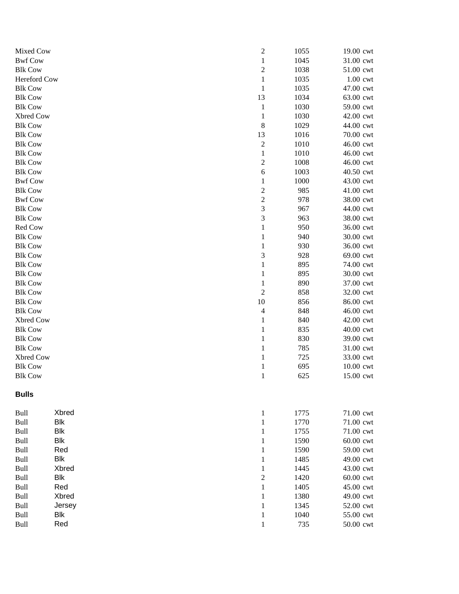| Mixed Cow      |                     | $\overline{\mathbf{c}}$ | 1055 | 19.00 cwt  |
|----------------|---------------------|-------------------------|------|------------|
| <b>Bwf Cow</b> |                     | $\,1$                   | 1045 | 31.00 cwt  |
| <b>Blk Cow</b> |                     | $\overline{\mathbf{c}}$ | 1038 | 51.00 cwt  |
| Hereford Cow   |                     | $\mathbf{1}$            | 1035 | $1.00$ cwt |
| <b>Blk Cow</b> |                     | $\mathbf{1}$            | 1035 | 47.00 cwt  |
| <b>Blk Cow</b> |                     | 13                      | 1034 | 63.00 cwt  |
| <b>Blk Cow</b> |                     | $\mathbf{1}$            | 1030 | 59.00 cwt  |
| Xbred Cow      |                     | $\mathbf{1}$            | 1030 | 42.00 cwt  |
| <b>Blk Cow</b> |                     | 8                       | 1029 | 44.00 cwt  |
| <b>Blk Cow</b> |                     | 13                      | 1016 | 70.00 cwt  |
| <b>Blk Cow</b> |                     | $\overline{\mathbf{c}}$ | 1010 | 46.00 cwt  |
| <b>Blk Cow</b> |                     | $\,1$                   | 1010 | 46.00 cwt  |
| <b>Blk Cow</b> |                     | $\overline{\mathbf{c}}$ | 1008 | 46.00 cwt  |
| <b>Blk Cow</b> |                     | 6                       | 1003 | 40.50 cwt  |
| <b>Bwf Cow</b> |                     | $\mathbf{1}$            | 1000 | 43.00 cwt  |
| <b>Blk Cow</b> |                     | $\overline{\mathbf{c}}$ | 985  | 41.00 cwt  |
| <b>Bwf Cow</b> |                     | $\overline{c}$          | 978  | 38.00 cwt  |
| <b>Blk Cow</b> |                     | 3                       | 967  | 44.00 cwt  |
| <b>Blk Cow</b> |                     | 3                       | 963  | 38.00 cwt  |
| Red Cow        |                     | $\mathbf{1}$            | 950  | 36.00 cwt  |
| <b>Blk Cow</b> |                     | $\mathbf{1}$            | 940  | 30.00 cwt  |
| <b>Blk Cow</b> |                     | $\mathbf{1}$            | 930  | 36.00 cwt  |
| <b>Blk Cow</b> |                     | 3                       | 928  | 69.00 cwt  |
| <b>Blk Cow</b> |                     | $\mathbf 1$             | 895  | 74.00 cwt  |
| <b>Blk Cow</b> |                     | $\mathbf{1}$            | 895  | 30.00 cwt  |
| <b>Blk Cow</b> |                     | $\mathbf{1}$            | 890  | 37.00 cwt  |
| <b>Blk Cow</b> |                     | $\overline{c}$          | 858  | 32.00 cwt  |
| <b>Blk Cow</b> |                     | 10                      | 856  | 86.00 cwt  |
| <b>Blk Cow</b> |                     | 4                       | 848  | 46.00 cwt  |
| Xbred Cow      |                     | $\,1$                   | 840  | 42.00 cwt  |
| <b>Blk Cow</b> |                     | $\,1$                   | 835  | 40.00 cwt  |
| <b>Blk Cow</b> |                     | $\mathbf{1}$            | 830  | 39.00 cwt  |
| <b>Blk Cow</b> |                     | $\,1$                   | 785  | 31.00 cwt  |
| Xbred Cow      |                     | $\,1$                   | 725  | 33.00 cwt  |
| <b>Blk Cow</b> |                     | $\mathbf 1$             | 695  | 10.00 cwt  |
| <b>Blk Cow</b> |                     | $\mathbf 1$             | 625  | 15.00 cwt  |
| <b>Bulls</b>   |                     |                         |      |            |
| Bull           | Xbred               | $\mathbf{1}$            | 1775 | 71.00 cwt  |
| Bull           | <b>Blk</b>          | $\mathbf{1}$            | 1770 | 71.00 cwt  |
| <b>Bull</b>    | <b>Blk</b>          | $\mathbf 1$             | 1755 | 71.00 cwt  |
| Bull           | Blk                 | $\mathbf 1$             | 1590 | 60.00 cwt  |
| Bull           | Red                 | $\mathbf 1$             | 1590 | 59.00 cwt  |
|                |                     |                         |      |            |
| Bull           | <b>Blk</b><br>Xbred | $\mathbf 1$             | 1485 | 49.00 cwt  |
| Bull           |                     | $\,1$                   | 1445 | 43.00 cwt  |
| Bull           | <b>Blk</b>          | $\overline{c}$          | 1420 | 60.00 cwt  |
| Bull           | Red                 | $\,1$                   | 1405 | 45.00 cwt  |
| Bull           | Xbred               | $\mathbf 1$             | 1380 | 49.00 cwt  |
| Bull           | Jersey              | $\mathbf 1$             | 1345 | 52.00 cwt  |
| Bull           | <b>Blk</b>          | $\mathbf 1$             | 1040 | 55.00 cwt  |
| Bull           | Red                 | $\mathbf 1$             | 735  | 50.00 cwt  |